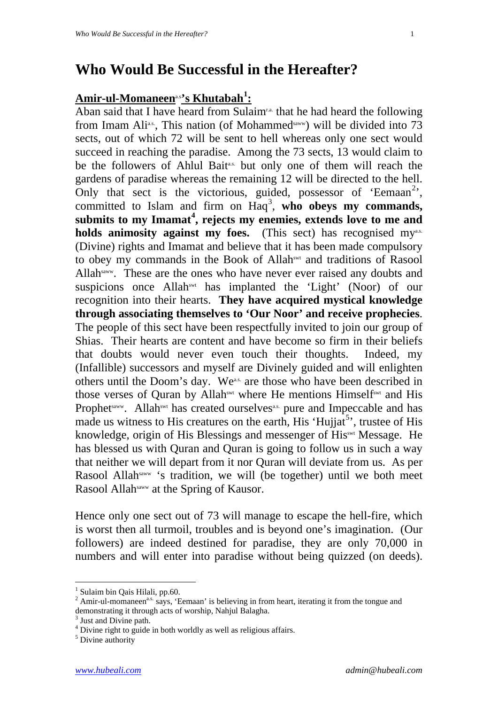# **Who Would Be Successful in the Hereafter?**

## **Amir-ul-Momaneen**a.s**'s Khutabah[1](#page-0-0) :**

Aban said that I have heard from Sulaim<sup>r.a.</sup> that he had heard the following from Imam Ali<sup>a.s</sup>. This nation (of Mohammed<sup>saww</sup>) will be divided into 73 sects, out of which 72 will be sent to hell whereas only one sect would succeed in reaching the paradise. Among the 73 sects, 13 would claim to be the followers of Ahlul Bait<sup>as.</sup> but only one of them will reach the gardens of paradise whereas the remaining 12 will be directed to the hell. Only that sect is the victorious, guided, possessor of 'Eemaan<sup>[2](#page-0-1)</sup>', committed to Islam and firm on Haq<sup>[3](#page-0-2)</sup>, who obeys my commands, **submits to my Imamat[4](#page-0-3) , rejects my enemies, extends love to me and**  holds animosity against my foes. (This sect) has recognised my<sup>as.</sup> (Divine) rights and Imamat and believe that it has been made compulsory to obey my commands in the Book of Allahswt and traditions of Rasool Allahsaww. These are the ones who have never ever raised any doubts and suspicions once Allahswt has implanted the 'Light' (Noor) of our recognition into their hearts. **They have acquired mystical knowledge through associating themselves to 'Our Noor' and receive prophecies**. The people of this sect have been respectfully invited to join our group of Shias. Their hearts are content and have become so firm in their beliefs that doubts would never even touch their thoughts. Indeed, my (Infallible) successors and myself are Divinely guided and will enlighten others until the Doom's day. We<sup>as,</sup> are those who have been described in those verses of Quran by Allahswt where He mentions Himselfswt and His Prophet<sup>saww</sup>. Allah<sup>swt</sup> has created ourselves<sup>a.s.</sup> pure and Impeccable and has made us witness to His creatures on the earth, His 'Hujjat<sup>[5](#page-0-4)</sup>', trustee of His knowledge, origin of His Blessings and messenger of Hisswt Message. He has blessed us with Quran and Quran is going to follow us in such a way that neither we will depart from it nor Quran will deviate from us. As per Rasool Allahsaww 's tradition, we will (be together) until we both meet Rasool Allahsaww at the Spring of Kausor.

Hence only one sect out of 73 will manage to escape the hell-fire, which is worst then all turmoil, troubles and is beyond one's imagination. (Our followers) are indeed destined for paradise, they are only 70,000 in numbers and will enter into paradise without being quizzed (on deeds).

<sup>1</sup> Sulaim bin Qais Hilali, pp.60.

<span id="page-0-1"></span><span id="page-0-0"></span> $2$  Amir-ul-momaneen<sup>a.s.</sup> says, 'Eemaan' is believing in from heart, iterating it from the tongue and demonstrating it through acts of worship, Nahjul Balagha.

<span id="page-0-2"></span><sup>&</sup>lt;sup>3</sup> Just and Divine path.

<span id="page-0-3"></span><sup>&</sup>lt;sup>4</sup> Divine right to guide in both worldly as well as religious affairs.

<span id="page-0-4"></span><sup>5</sup> Divine authority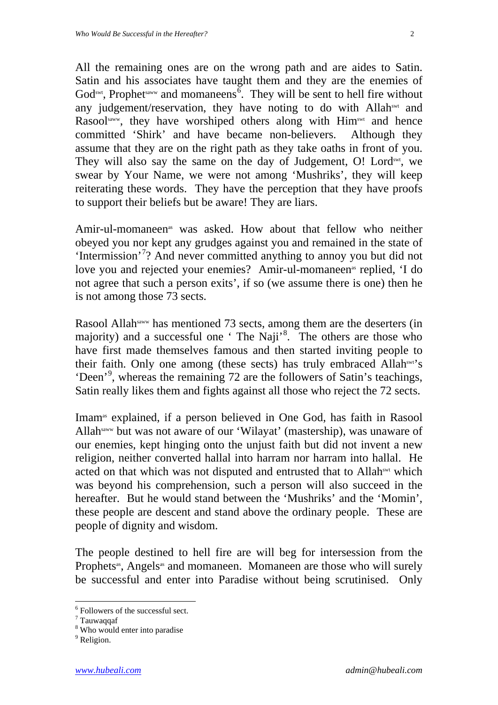All the remaining ones are on the wrong path and are aides to Satin. Satin and his associates have taught them and they are the enemies of God<sup>swt</sup>, Prophet<sup>saww</sup> and momaneens<sup>[6](#page-1-0)</sup>. They will be sent to hell fire without any judgement/reservation, they have noting to do with Allahswt and Rasoolsaww, they have worshiped others along with Him<sup>swt</sup> and hence committed 'Shirk' and have became non-believers. Although they assume that they are on the right path as they take oaths in front of you. They will also say the same on the day of Judgement, O! Lord<sup>swt</sup>, we swear by Your Name, we were not among 'Mushriks', they will keep reiterating these words. They have the perception that they have proofs to support their beliefs but be aware! They are liars.

Amir-ul-momaneen<sup>®</sup> was asked. How about that fellow who neither obeyed you nor kept any grudges against you and remained in the state of 'Intermission'[7](#page-1-1) ? And never committed anything to annoy you but did not love you and rejected your enemies? Amir-ul-momaneen<sup>as</sup> replied, 'I do not agree that such a person exits', if so (we assume there is one) then he is not among those 73 sects.

Rasool Allahsaww has mentioned 73 sects, among them are the deserters (in majority) and a successful one ' The Naji'<sup>[8](#page-1-2)</sup>. The others are those who have first made themselves famous and then started inviting people to their faith. Only one among (these sects) has truly embraced Allahswt's 'Deen'[9](#page-1-3) , whereas the remaining 72 are the followers of Satin's teachings, Satin really likes them and fights against all those who reject the 72 sects.

Imam<sup>as</sup> explained, if a person believed in One God, has faith in Rasool Allahsaww but was not aware of our 'Wilayat' (mastership), was unaware of our enemies, kept hinging onto the unjust faith but did not invent a new religion, neither converted hallal into harram nor harram into hallal. He acted on that which was not disputed and entrusted that to Allahswt which was beyond his comprehension, such a person will also succeed in the hereafter. But he would stand between the 'Mushriks' and the 'Momin', these people are descent and stand above the ordinary people. These are people of dignity and wisdom.

The people destined to hell fire are will beg for intersession from the Prophets<sup>as</sup>, Angels<sup>as</sup> and momaneen. Momaneen are those who will surely be successful and enter into Paradise without being scrutinised. Only

<span id="page-1-0"></span><sup>6</sup> Followers of the successful sect.

<span id="page-1-1"></span> $\frac{7}{8}$  Tauwaqqaf<br>  $\frac{8}{8}$  Who would enter into paradise

<span id="page-1-3"></span><span id="page-1-2"></span><sup>&</sup>lt;sup>9</sup> Religion.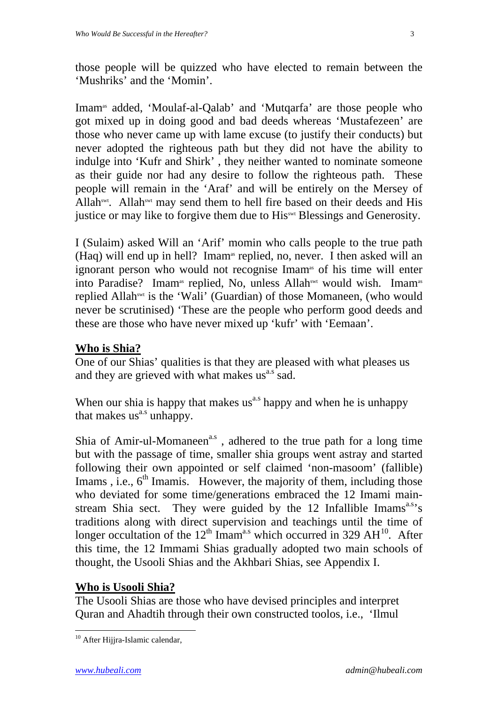those people will be quizzed who have elected to remain between the 'Mushriks' and the 'Momin'.

Imam<sup>as</sup> added, 'Moulaf-al-Qalab' and 'Mutqarfa' are those people who got mixed up in doing good and bad deeds whereas 'Mustafezeen' are those who never came up with lame excuse (to justify their conducts) but never adopted the righteous path but they did not have the ability to indulge into 'Kufr and Shirk' , they neither wanted to nominate someone as their guide nor had any desire to follow the righteous path. These people will remain in the 'Araf' and will be entirely on the Mersey of Allah<sup>swt</sup>. Allah<sup>swt</sup> may send them to hell fire based on their deeds and His justice or may like to forgive them due to His<sup>swt</sup> Blessings and Generosity.

I (Sulaim) asked Will an 'Arif' momin who calls people to the true path (Haq) will end up in hell? Imam<sup>as</sup> replied, no, never. I then asked will an ignorant person who would not recognise Imam<sup>®</sup> of his time will enter into Paradise? Imam<sup>as</sup> replied, No, unless Allah<sup>swt</sup> would wish. Imam<sup>as</sup> replied Allahswt is the 'Wali' (Guardian) of those Momaneen, (who would never be scrutinised) 'These are the people who perform good deeds and these are those who have never mixed up 'kufr' with 'Eemaan'.

### **Who is Shia?**

One of our Shias' qualities is that they are pleased with what pleases us and they are grieved with what makes us<sup>a.s</sup> sad.

When our shia is happy that makes  $us^{a.s}$  happy and when he is unhappy that makes  $us^{a.s}$  unhappy.

Shia of Amir-ul-Momaneen<sup>a.s</sup>, adhered to the true path for a long time but with the passage of time, smaller shia groups went astray and started following their own appointed or self claimed 'non-masoom' (fallible) Imams, i.e.,  $6<sup>th</sup>$  Imamis. However, the majority of them, including those who deviated for some time/generations embraced the 12 Imami mainstream Shia sect. They were guided by the  $12$  Infallible Imams<sup>a.s.</sup>'s traditions along with direct supervision and teachings until the time of longer occultation of the  $12^{th}$  Imam<sup>a.s</sup> which occurred in 329 AH<sup>[10](#page-2-0)</sup>. After this time, the 12 Immami Shias gradually adopted two main schools of thought, the Usooli Shias and the Akhbari Shias, see Appendix I.

### **Who is Usooli Shia?**

The Usooli Shias are those who have devised principles and interpret Quran and Ahadtih through their own constructed toolos, i.e., 'Ilmul

<span id="page-2-0"></span><sup>&</sup>lt;sup>10</sup> After Hijjra-Islamic calendar,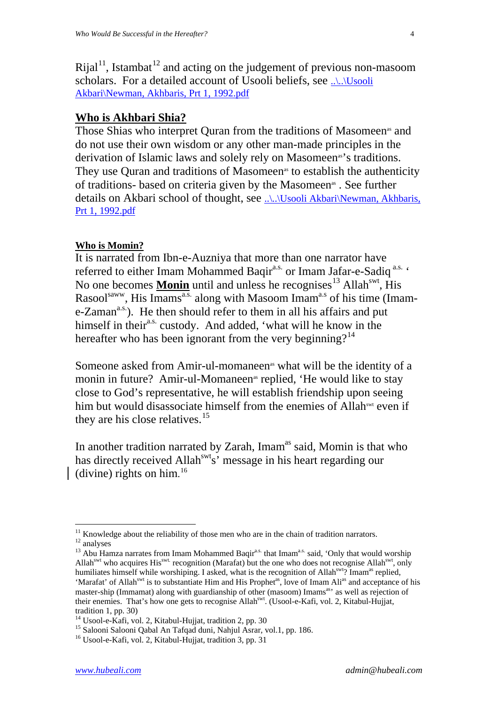$Rijal<sup>11</sup>$  $Rijal<sup>11</sup>$  $Rijal<sup>11</sup>$ , Istambat<sup>[12](#page-3-1)</sup> and acting on the judgement of previous non-masoom scholars. For a detailed account of Usooli beliefs, see .....\Usooli Akbari\Newman, Akhbaris, Prt 1, 1992.pdf

### **Who is Akhbari Shia?**

Those Shias who interpret Quran from the traditions of Masomeen<sup>as</sup> and do not use their own wisdom or any other man-made principles in the derivation of Islamic laws and solely rely on Masomeen<sup>as'</sup>s traditions. They use Quran and traditions of Masomeen<sup>®</sup> to establish the authenticity of traditions- based on criteria given by the Masomeen<sup>®</sup>. See further details on Akbari school of thought, see .....\Usooli Akbari\Newman, Akhbaris, Prt 1, 1992.pdf

#### **Who is Momin?**

It is narrated from Ibn-e-Auzniya that more than one narrator have referred to either Imam Mohammed Baqir<sup>a.s.</sup> or Imam Jafar-e-Sadiq a.s. ' No one becomes **Monin** until and unless he recognises<sup>[1](#page-3-2)3</sup> Allah<sup>swt</sup>, His Rasool<sup>saww</sup>, His Imams<sup>a.s.</sup> along with Masoom Imam<sup>a.s</sup> of his time (Imame-Zaman<sup>a.s.</sup>). He then should refer to them in all his affairs and put himself in their<sup>a.s.</sup> custody. And added, 'what will he know in the hereafter who has been ignorant from the very beginning?<sup>[14](#page-3-3)</sup>

Someone asked from Amir-ul-momaneen<sup>as</sup> what will be the identity of a monin in future? Amir-ul-Momaneen<sup>®</sup> replied, 'He would like to stay close to God's representative, he will establish friendship upon seeing him but would disassociate himself from the enemies of Allahswt even if they are his close relatives.<sup>[1](#page-3-4)5</sup>

In another tradition narrated by Zarah, Imam<sup>as</sup> said, Momin is that who has directly received Allah<sup>swt</sup>s' message in his heart regarding our (divine) rights on him. [16](#page-3-5)

<span id="page-3-0"></span><sup>&</sup>lt;sup>11</sup> Knowledge about the reliability of those men who are in the chain of tradition narrators.<br><sup>12</sup> analyses

<span id="page-3-2"></span><span id="page-3-1"></span><sup>&</sup>lt;sup>13</sup> Abu Hamza narrates from Imam Mohammed Baqir<sup>a.s.</sup> that Imam<sup>a.s.</sup> said, 'Only that would worship Allah<sup>swt</sup> who acquires His<sup>swt.</sup> recognition (Marafat) but the one who does not recognise Allah<sup>swt</sup>, only humiliates himself while worshiping. I asked, what is the recognition of Allah<sup>swt?</sup> Imam<sup>as</sup> replied, 'Marafat' of Allah<sup>swt</sup> is to substantiate Him and His Prophet<sup>as</sup>, love of Imam Ali<sup>as</sup> and acceptance of his master-ship (Immamat) along with guardianship of other (masoom) Imams<sup>as</sup> as well as rejection of their enemies. That's how one gets to recognise Allahswt. (Usool-e-Kafi, vol. 2, Kitabul-Hujjat, tradition 1, pp. 30)<br> $14$  Usool-e-Kafi, vol. 2. Kitabul-Huijat, tradition 2, pp. 30

<span id="page-3-4"></span><span id="page-3-3"></span><sup>&</sup>lt;sup>15</sup> Salooni Salooni Qabal An Tafqad duni, Nahjul Asrar, vol.1, pp. 186.

<span id="page-3-5"></span><sup>16</sup> Usool-e-Kafi, vol. 2, Kitabul-Hujjat, tradition 3, pp. 31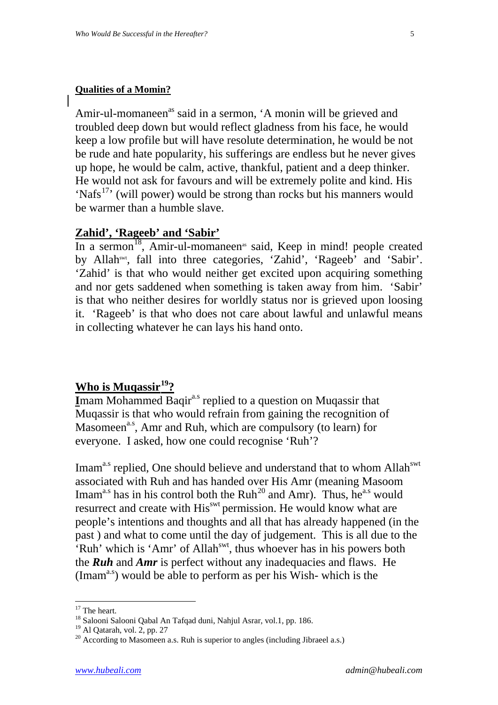#### **Qualities of a Momin?**

Amir-ul-momaneen<sup>as</sup> said in a sermon, 'A monin will be grieved and troubled deep down but would reflect gladness from his face, he would keep a low profile but will have resolute determination, he would be not be rude and hate popularity, his sufferings are endless but he never gives up hope, he would be calm, active, thankful, patient and a deep thinker. He would not ask for favours and will be extremely polite and kind. His 'Nafs<sup>[1](#page-4-0)7</sup>' (will power) would be strong than rocks but his manners would be warmer than a humble slave.

#### **Zahid', 'Rageeb' and 'Sabir'**

In a sermon<sup>[1](#page-4-1)8</sup>, Amir-ul-momaneen<sup>as</sup> said, Keep in mind! people created by Allahswt, fall into three categories, 'Zahid', 'Rageeb' and 'Sabir'. 'Zahid' is that who would neither get excited upon acquiring something and nor gets saddened when something is taken away from him. 'Sabir' is that who neither desires for worldly status nor is grieved upon loosing it. 'Rageeb' is that who does not care about lawful and unlawful means in collecting whatever he can lays his hand onto.

#### **Who is Muqassir[19](#page-4-2)?**

**I**mam Mohammed Bagir<sup>a.s</sup> replied to a question on Mugassir that Muqassir is that who would refrain from gaining the recognition of Masomeen<sup>a.s</sup>, Amr and Ruh, which are compulsory (to learn) for everyone. I asked, how one could recognise 'Ruh'?

Imam<sup>a.s</sup> replied, One should believe and understand that to whom Allah<sup>swt</sup> associated with Ruh and has handed over His Amr (meaning Masoom Imam<sup>a.s</sup> has in his control both the Ruh<sup>[20](#page-4-3)</sup> and Amr). Thus, he<sup>a.s</sup> would resurrect and create with His<sup>swt</sup> permission. He would know what are people's intentions and thoughts and all that has already happened (in the past ) and what to come until the day of judgement. This is all due to the 'Ruh' which is 'Amr' of Allah<sup>swt</sup>, thus whoever has in his powers both the *Ruh* and *Amr* is perfect without any inadequacies and flaws. He (Imam<sup>a.s</sup>) would be able to perform as per his Wish- which is the

<sup>&</sup>lt;sup>17</sup> The heart.

<span id="page-4-0"></span><sup>&</sup>lt;sup>18</sup> Salooni Salooni Qabal An Tafqad duni, Nahjul Asrar, vol.1, pp. 186.

<span id="page-4-2"></span><span id="page-4-1"></span> $19$  Al Oatarah, vol. 2, pp. 27

<span id="page-4-3"></span> $20$  According to Masomeen a.s. Ruh is superior to angles (including Jibraeel a.s.)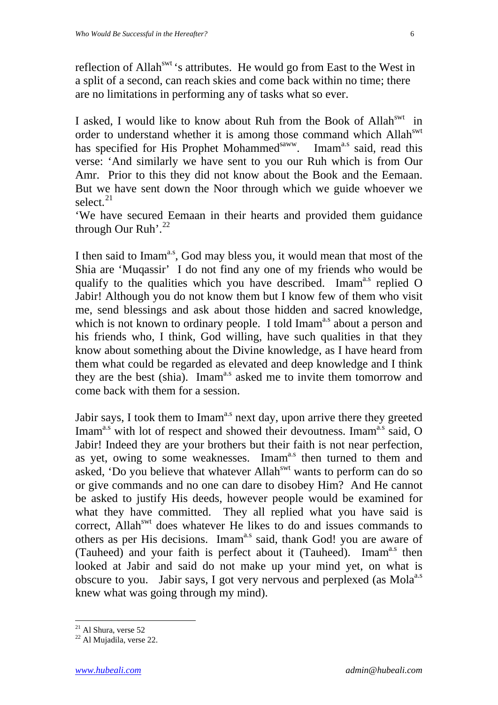reflection of Allah<sup>swt</sup>'s attributes. He would go from East to the West in a split of a second, can reach skies and come back within no time; there are no limitations in performing any of tasks what so ever.

I asked, I would like to know about Ruh from the Book of Allahswt in order to understand whether it is among those command which Allah<sup>swt</sup> has specified for His Prophet Mohammed<sup>saww</sup>. Imam<sup>a.s</sup> said, read this has specified for His Prophet Mohammed<sup>saww</sup>. verse: 'And similarly we have sent to you our Ruh which is from Our Amr. Prior to this they did not know about the Book and the Eemaan. But we have sent down the Noor through which we guide whoever we select. $^{21}$  $^{21}$  $^{21}$ 

'We have secured Eemaan in their hearts and provided them guidance through Our Ruh'. $^{22}$  $^{22}$  $^{22}$ 

I then said to Imam<sup>a.s</sup>, God may bless you, it would mean that most of the Shia are 'Muqassir' I do not find any one of my friends who would be qualify to the qualities which you have described. Imam<sup>a.s</sup> replied  $O$ Jabir! Although you do not know them but I know few of them who visit me, send blessings and ask about those hidden and sacred knowledge, which is not known to ordinary people. I told Imam<sup>a.s</sup> about a person and his friends who, I think, God willing, have such qualities in that they know about something about the Divine knowledge, as I have heard from them what could be regarded as elevated and deep knowledge and I think they are the best (shia). Imam<sup>a.s</sup> asked me to invite them tomorrow and come back with them for a session.

Jabir says, I took them to Imam<sup>a.s</sup> next day, upon arrive there they greeted Imam<sup>a.s</sup> with lot of respect and showed their devoutness. Imam<sup>a.s</sup> said, O Jabir! Indeed they are your brothers but their faith is not near perfection, as yet, owing to some weaknesses. Imam<sup>a.s</sup> then turned to them and asked, 'Do you believe that whatever Allah<sup>swt</sup> wants to perform can do so or give commands and no one can dare to disobey Him? And He cannot be asked to justify His deeds, however people would be examined for what they have committed. They all replied what you have said is correct, Allah<sup>swt</sup> does whatever He likes to do and issues commands to others as per His decisions. Imam<sup>a.s</sup> said, thank God! you are aware of (Tauheed) and your faith is perfect about it (Tauheed). Imam<sup>a.s</sup> then looked at Jabir and said do not make up your mind yet, on what is obscure to you. Jabir says, I got very nervous and perplexed (as Mola<sup>a.s</sup>) knew what was going through my mind).

<u>.</u>

<span id="page-5-0"></span> $21$  Al Shura, verse 52

<span id="page-5-1"></span><sup>22</sup> Al Mujadila, verse 22.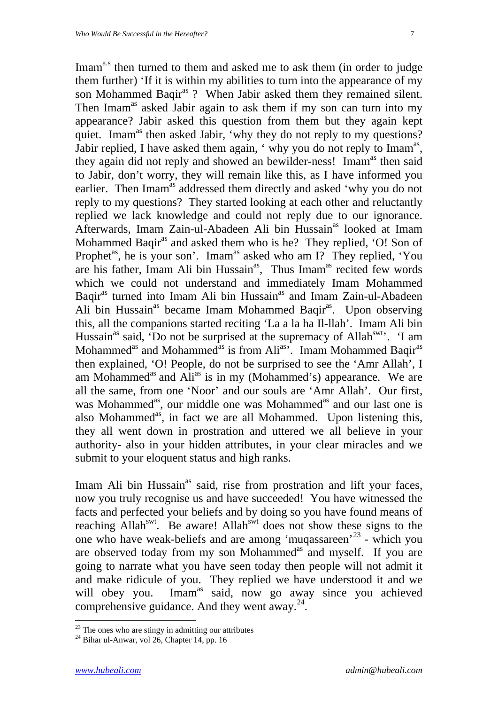Imam<sup>a.s</sup> then turned to them and asked me to ask them (in order to judge them further) 'If it is within my abilities to turn into the appearance of my son Mohammed Baqir<sup>as</sup> ? When Jabir asked them they remained silent. Then Imam<sup>as</sup> asked Jabir again to ask them if my son can turn into my appearance? Jabir asked this question from them but they again kept quiet. Imam<sup>as</sup> then asked Jabir, 'why they do not reply to my questions? Jabir replied, I have asked them again, ' why you do not reply to Imam<sup>as</sup>, they again did not reply and showed an bewilder-ness! Imam<sup>as</sup> then said to Jabir, don't worry, they will remain like this, as I have informed you earlier. Then Imam<sup>as</sup> addressed them directly and asked 'why you do not reply to my questions? They started looking at each other and reluctantly replied we lack knowledge and could not reply due to our ignorance. Afterwards, Imam Zain-ul-Abadeen Ali bin Hussain<sup>as</sup> looked at Imam Mohammed Baqir<sup>as</sup> and asked them who is he? They replied, 'O! Son of Prophet<sup>as</sup>, he is your son'. Imam<sup>as</sup> asked who am I? They replied, 'You are his father, Imam Ali bin Hussain<sup>as</sup>, Thus Imam<sup>as</sup> recited few words which we could not understand and immediately Imam Mohammed Baqir<sup>as</sup> turned into Imam Ali bin Hussain<sup>as</sup> and Imam Zain-ul-Abadeen Ali bin Hussain<sup>as</sup> became Imam Mohammed Baqir<sup>as</sup>. Upon observing this, all the companions started reciting 'La a la ha Il-llah'. Imam Ali bin Hussain<sup>as</sup> said, 'Do not be surprised at the supremacy of Allah<sup>swt</sup>'. 'I am Mohammed<sup>as</sup> and Mohammed<sup>as</sup> is from Ali<sup>as</sup><sup>5</sup>. Imam Mohammed Baqir<sup>as</sup> then explained, 'O! People, do not be surprised to see the 'Amr Allah', I am Mohammed<sup>as</sup> and Ali<sup>as</sup> is in my (Mohammed's) appearance. We are all the same, from one 'Noor' and our souls are 'Amr Allah'. Our first, was Mohammed<sup>as</sup>, our middle one was Mohammed<sup>as</sup> and our last one is also Mohammed<sup>as</sup>, in fact we are all Mohammed. Upon listening this, they all went down in prostration and uttered we all believe in your authority- also in your hidden attributes, in your clear miracles and we submit to your eloquent status and high ranks.

Imam Ali bin Hussain<sup>as</sup> said, rise from prostration and lift your faces, now you truly recognise us and have succeeded! You have witnessed the facts and perfected your beliefs and by doing so you have found means of reaching Allah<sup>swt</sup>. Be aware! Allah<sup>swt</sup> does not show these signs to the one who have weak-beliefs and are among 'muqassareen'[23](#page-6-0) - which you are observed today from my son Mohammed<sup>as</sup> and myself. If you are going to narrate what you have seen today then people will not admit it and make ridicule of you. They replied we have understood it and we will obey you. Imam<sup>as</sup> said, now go away since you achieved comprehensive guidance. And they went away.<sup>[24](#page-6-1)</sup>.

<u>.</u>

<span id="page-6-0"></span> $23$  The ones who are sting in admitting our attributes

<span id="page-6-1"></span> $^{24}$  Bihar ul-Anwar, vol 26, Chapter 14, pp. 16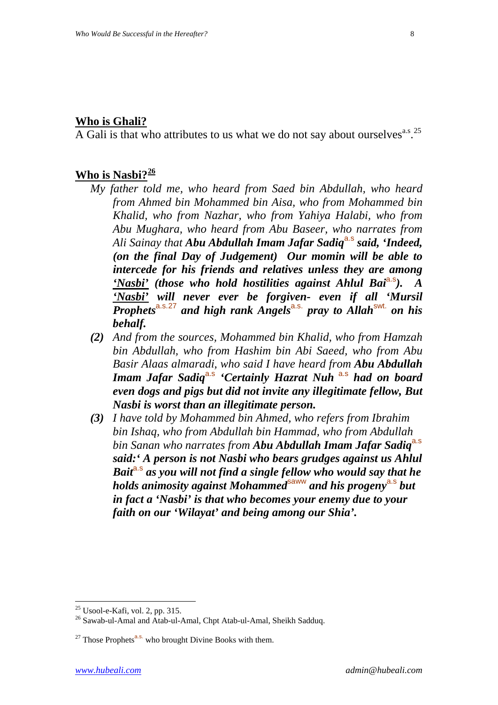#### **Who is Ghali?**

A Gali is that who attributes to us what we do not say about ourselves<sup>a.s. [2](#page-7-0)5</sup>

#### **Who is Nasbi?[2](#page-7-1)6**

- *My father told me, who heard from Saed bin Abdullah, who heard from Ahmed bin Mohammed bin Aisa, who from Mohammed bin Khalid, who from Nazhar, who from Yahiya Halabi, who from Abu Mughara, who heard from Abu Baseer, who narrates from Ali Sainay that Abu Abdullah Imam Jafar Sadiq*a.s *said, 'Indeed, (on the final Day of Judgement) Our momin will be able to intercede for his friends and relatives unless they are among 'Nasbi' (those who hold hostilities against Ahlul Bai*<sup>a.s</sup>). A *'Nasbi' will never ever be forgiven- even if all 'Mursil Prophets*<sup>a.s.[2](#page-7-2)7</sup> and high rank Angels<sup>a.s.</sup> pray to Allah<sup>swt.</sup> on his *behalf.*
- *(2) And from the sources, Mohammed bin Khalid, who from Hamzah bin Abdullah, who from Hashim bin Abi Saeed, who from Abu Basir Alaas almaradi, who said I have heard from Abu Abdullah Imam Jafar Sadiq*<sup>a.s</sup> 'Certainly Hazrat Nuh<sup>a.s</sup> had on board *even dogs and pigs but did not invite any illegitimate fellow, But Nasbi is worst than an illegitimate person.*
- *(3) I have told by Mohammed bin Ahmed, who refers from Ibrahim bin Ishaq, who from Abdullah bin Hammad, who from Abdullah bin Sanan who narrates from Abu Abdullah Imam Jafar Sadiq*a.s *said:' A person is not Nasbi who bears grudges against us Ahlul Bait*<sup>a.s</sup> as you will not find a single fellow who would say that he *holds animosity against Mohammed*<sup>saww</sup> and his progeny<sup>a.s</sup> but *in fact a 'Nasbi' is that who becomes your enemy due to your faith on our 'Wilayat' and being among our Shia'.*

<span id="page-7-0"></span> $25$  Usool-e-Kafi, vol. 2, pp. 315.

<span id="page-7-1"></span><sup>&</sup>lt;sup>26</sup> Sawab-ul-Amal and Atab-ul-Amal, Chpt Atab-ul-Amal, Sheikh Sadduq.

<span id="page-7-2"></span> $27$  Those Prophets<sup>a.s.</sup> who brought Divine Books with them.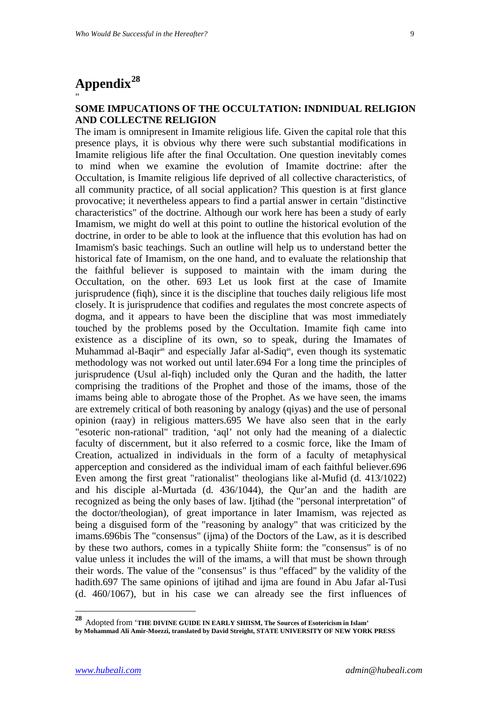## **Appendix[2](#page-8-0)8** "

#### **SOME IMPUCATIONS OF THE OCCULTATION: INDNIDUAL RELIGION AND COLLECTNE RELIGION**

The imam is omnipresent in Imamite religious life. Given the capital role that this presence plays, it is obvious why there were such substantial modifications in Imamite religious life after the final Occultation. One question inevitably comes to mind when we examine the evolution of Imamite doctrine: after the Occultation, is Imamite religious life deprived of all collective characteristics, of all community practice, of all social application? This question is at first glance provocative; it nevertheless appears to find a partial answer in certain "distinctive characteristics" of the doctrine. Although our work here has been a study of early Imamism, we might do well at this point to outline the historical evolution of the doctrine, in order to be able to look at the influence that this evolution has had on Imamism's basic teachings. Such an outline will help us to understand better the historical fate of Imamism, on the one hand, and to evaluate the relationship that the faithful believer is supposed to maintain with the imam during the Occultation, on the other. 693 Let us look first at the case of Imamite jurisprudence (fiqh), since it is the discipline that touches daily religious life most closely. It is jurisprudence that codifies and regulates the most concrete aspects of dogma, and it appears to have been the discipline that was most immediately touched by the problems posed by the Occultation. Imamite fiqh came into existence as a discipline of its own, so to speak, during the Imamates of Muhammad al-Baqir<sup>as</sup> and especially Jafar al-Sadiq<sup>as</sup>, even though its systematic methodology was not worked out until later.694 For a long time the principles of jurisprudence (Usul al-fiqh) included only the Quran and the hadith, the latter comprising the traditions of the Prophet and those of the imams, those of the imams being able to abrogate those of the Prophet. As we have seen, the imams are extremely critical of both reasoning by analogy (qiyas) and the use of personal opinion (raay) in religious matters.695 We have also seen that in the early "esoteric non-rational" tradition, 'aql' not only had the meaning of a dialectic faculty of discernment, but it also referred to a cosmic force, like the Imam of Creation, actualized in individuals in the form of a faculty of metaphysical apperception and considered as the individual imam of each faithful believer.696 Even among the first great "rationalist" theologians like al-Mufid (d. 413/1022) and his disciple al-Murtada (d. 436/1044), the Qur'an and the hadith are recognized as being the only bases of law. Ijtihad (the "personal interpretation" of the doctor/theologian), of great importance in later Imamism, was rejected as being a disguised form of the "reasoning by analogy" that was criticized by the imams.696bis The "consensus" (ijma) of the Doctors of the Law, as it is described by these two authors, comes in a typically Shiite form: the "consensus" is of no value unless it includes the will of the imams, a will that must be shown through their words. The value of the "consensus" is thus "effaced" by the validity of the hadith.697 The same opinions of ijtihad and ijma are found in Abu Jafar al-Tusi (d. 460/1067), but in his case we can already see the first influences of

<span id="page-8-0"></span>**<sup>28</sup>** Adopted from '**THE DIVINE GUIDE IN EARLY SHIISM, The Sources of Esotericism in Islam' by Mohammad Ali Amir-Moezzi, translated by David Streight, STATE UNIVERSITY OF NEW YORK PRESS**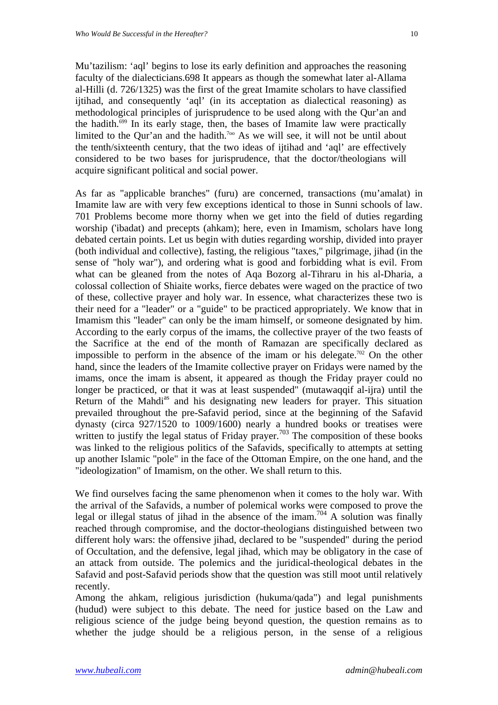Mu'tazilism: 'aql' begins to lose its early definition and approaches the reasoning faculty of the dialecticians.698 It appears as though the somewhat later al-Allama al-Hilli (d. 726/1325) was the first of the great Imamite scholars to have classified ijtihad, and consequently 'aql' (in its acceptation as dialectical reasoning) as methodological principles of jurisprudence to be used along with the Qur'an and the hadith.699 In its early stage, then, the bases of Imamite law were practically limited to the Qur'an and the hadith.<sup>700</sup> As we will see, it will not be until about the tenth/sixteenth century, that the two ideas of ijtihad and 'aql' are effectively considered to be two bases for jurisprudence, that the doctor/theologians will acquire significant political and social power.

As far as "applicable branches" (furu) are concerned, transactions (mu'amalat) in Imamite law are with very few exceptions identical to those in Sunni schools of law. 701 Problems become more thorny when we get into the field of duties regarding worship ('ibadat) and precepts (ahkam); here, even in Imamism, scholars have long debated certain points. Let us begin with duties regarding worship, divided into prayer (both individual and collective), fasting, the religious "taxes," pilgrimage, jihad (in the sense of "holy war"), and ordering what is good and forbidding what is evil. From what can be gleaned from the notes of Aqa Bozorg al-Tihraru in his al-Dharia, a colossal collection of Shiaite works, fierce debates were waged on the practice of two of these, collective prayer and holy war. In essence, what characterizes these two is their need for a "leader" or a "guide" to be practiced appropriately. We know that in Imamism this "leader" can only be the imam himself, or someone designated by him. According to the early corpus of the imams, the collective prayer of the two feasts of the Sacrifice at the end of the month of Ramazan are specifically declared as impossible to perform in the absence of the imam or his delegate.<sup>702</sup> On the other hand, since the leaders of the Imamite collective prayer on Fridays were named by the imams, once the imam is absent, it appeared as though the Friday prayer could no longer be practiced, or that it was at least suspended" (mutawaqqif al-ijra) until the Return of the Mahdi<sup>as</sup> and his designating new leaders for prayer. This situation prevailed throughout the pre-Safavid period, since at the beginning of the Safavid dynasty (circa 927/1520 to 1009/1600) nearly a hundred books or treatises were written to justify the legal status of Friday prayer.<sup>703</sup> The composition of these books was linked to the religious politics of the Safavids, specifically to attempts at setting up another Islamic "pole" in the face of the Ottoman Empire, on the one hand, and the "ideologization" of Imamism, on the other. We shall return to this.

We find ourselves facing the same phenomenon when it comes to the holy war. With the arrival of the Safavids, a number of polemical works were composed to prove the legal or illegal status of jihad in the absence of the imam.<sup>704</sup> A solution was finally reached through compromise, and the doctor-theologians distinguished between two different holy wars: the offensive jihad, declared to be "suspended" during the period of Occultation, and the defensive, legal jihad, which may be obligatory in the case of an attack from outside. The polemics and the juridical-theological debates in the Safavid and post-Safavid periods show that the question was still moot until relatively recently.

Among the ahkam, religious jurisdiction (hukuma/qada") and legal punishments (hudud) were subject to this debate. The need for justice based on the Law and religious science of the judge being beyond question, the question remains as to whether the judge should be a religious person, in the sense of a religious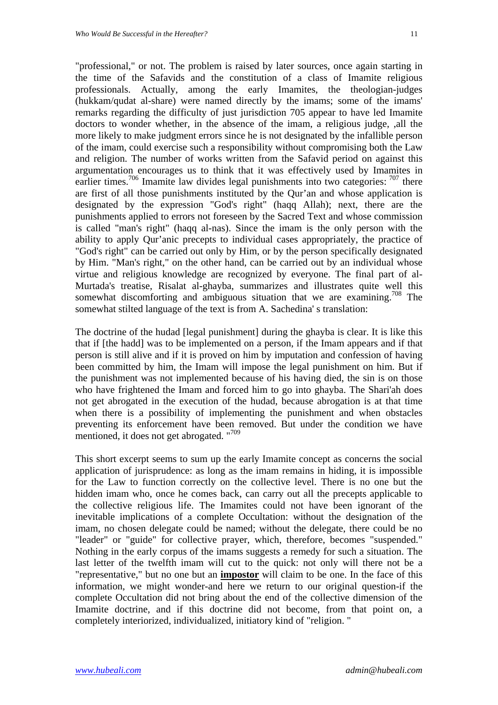"professional," or not. The problem is raised by later sources, once again starting in the time of the Safavids and the constitution of a class of Imamite religious professionals. Actually, among the early Imamites, the theologian-judges (hukkam/qudat al-share) were named directly by the imams; some of the imams' remarks regarding the difficulty of just jurisdiction 705 appear to have led Imamite doctors to wonder whether, in the absence of the imam, a religious judge, ,all the more likely to make judgment errors since he is not designated by the infallible person of the imam, could exercise such a responsibility without compromising both the Law and religion. The number of works written from the Safavid period on against this argumentation encourages us to think that it was effectively used by Imamites in earlier times.<sup>706</sup> Imamite law divides legal punishments into two categories:  $707$  there are first of all those punishments instituted by the Qur'an and whose application is designated by the expression "God's right" (haqq Allah); next, there are the punishments applied to errors not foreseen by the Sacred Text and whose commission is called "man's right" (haqq al-nas). Since the imam is the only person with the ability to apply Qur'anic precepts to individual cases appropriately, the practice of "God's right" can be carried out only by Him, or by the person specifically designated by Him. "Man's right," on the other hand, can be carried out by an individual whose virtue and religious knowledge are recognized by everyone. The final part of al-Murtada's treatise, Risalat al-ghayba, summarizes and illustrates quite well this somewhat discomforting and ambiguous situation that we are examining.<sup>708</sup> The somewhat stilted language of the text is from A. Sachedina' s translation:

The doctrine of the hudad [legal punishment] during the ghayba is clear. It is like this that if [the hadd] was to be implemented on a person, if the Imam appears and if that person is still alive and if it is proved on him by imputation and confession of having been committed by him, the Imam will impose the legal punishment on him. But if the punishment was not implemented because of his having died, the sin is on those who have frightened the Imam and forced him to go into ghayba. The Shari'ah does not get abrogated in the execution of the hudad, because abrogation is at that time when there is a possibility of implementing the punishment and when obstacles preventing its enforcement have been removed. But under the condition we have mentioned, it does not get abrogated. "709

This short excerpt seems to sum up the early Imamite concept as concerns the social application of jurisprudence: as long as the imam remains in hiding, it is impossible for the Law to function correctly on the collective level. There is no one but the hidden imam who, once he comes back, can carry out all the precepts applicable to the collective religious life. The Imamites could not have been ignorant of the inevitable implications of a complete Occultation: without the designation of the imam, no chosen delegate could be named; without the delegate, there could be no "leader" or "guide" for collective prayer, which, therefore, becomes "suspended." Nothing in the early corpus of the imams suggests a remedy for such a situation. The last letter of the twelfth imam will cut to the quick: not only will there not be a "representative," but no one but an **impostor** will claim to be one. In the face of this information, we might wonder-and here we return to our original question-if the complete Occultation did not bring about the end of the collective dimension of the Imamite doctrine, and if this doctrine did not become, from that point on, a completely interiorized, individualized, initiatory kind of "religion. "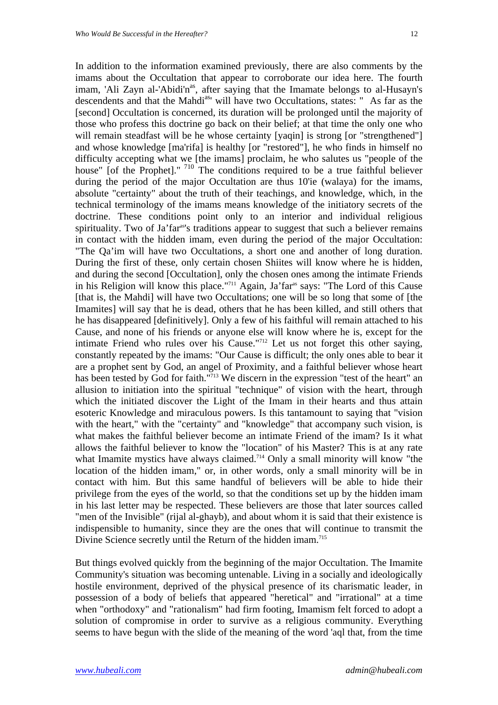In addition to the information examined previously, there are also comments by the imams about the Occultation that appear to corroborate our idea here. The fourth imam, 'Ali Zayn al-'Abidi'n<sup>as</sup>, after saying that the Imamate belongs to al-Husayn's descendents and that the Mahdi<sup>as</sup>' will have two Occultations, states: " As far as the [second] Occultation is concerned, its duration will be prolonged until the majority of those who profess this doctrine go back on their belief; at that time the only one who will remain steadfast will be he whose certainty [yaqin] is strong [or "strengthened"] and whose knowledge [ma'rifa] is healthy [or "restored"], he who finds in himself no difficulty accepting what we [the imams] proclaim, he who salutes us "people of the house" [of the Prophet]." <sup>710</sup> The conditions required to be a true faithful believer during the period of the major Occultation are thus 10'ie (walaya) for the imams, absolute "certainty" about the truth of their teachings, and knowledge, which, in the technical terminology of the imams means knowledge of the initiatory secrets of the doctrine. These conditions point only to an interior and individual religious spirituality. Two of Ja'far<sup>as'</sup>s traditions appear to suggest that such a believer remains in contact with the hidden imam, even during the period of the major Occultation: "The Qa'im will have two Occultations, a short one and another of long duration. During the first of these, only certain chosen Shiites will know where he is hidden, and during the second [Occultation], only the chosen ones among the intimate Friends in his Religion will know this place."<sup>711</sup> Again, Ja'far<sup>as</sup> says: "The Lord of this Cause [that is, the Mahdi] will have two Occultations; one will be so long that some of [the Imamites] will say that he is dead, others that he has been killed, and still others that he has disappeared [definitively]. Only a few of his faithful will remain attached to his Cause, and none of his friends or anyone else will know where he is, except for the intimate Friend who rules over his Cause."712 Let us not forget this other saying, constantly repeated by the imams: "Our Cause is difficult; the only ones able to bear it are a prophet sent by God, an angel of Proximity, and a faithful believer whose heart has been tested by God for faith."713 We discern in the expression "test of the heart" an allusion to initiation into the spiritual "technique" of vision with the heart, through which the initiated discover the Light of the Imam in their hearts and thus attain esoteric Knowledge and miraculous powers. Is this tantamount to saying that "vision with the heart," with the "certainty" and "knowledge" that accompany such vision, is what makes the faithful believer become an intimate Friend of the imam? Is it what allows the faithful believer to know the "location" of his Master? This is at any rate what Imamite mystics have always claimed.<sup>714</sup> Only a small minority will know "the location of the hidden imam," or, in other words, only a small minority will be in contact with him. But this same handful of believers will be able to hide their privilege from the eyes of the world, so that the conditions set up by the hidden imam in his last letter may be respected. These believers are those that later sources called "men of the Invisible" (rijal al-ghayb), and about whom it is said that their existence is indispensible to humanity, since they are the ones that will continue to transmit the Divine Science secretly until the Return of the hidden imam.<sup>715</sup>

But things evolved quickly from the beginning of the major Occultation. The Imamite Community's situation was becoming untenable. Living in a socially and ideologically hostile environment, deprived of the physical presence of its charismatic leader, in possession of a body of beliefs that appeared "heretical" and "irrational" at a time when "orthodoxy" and "rationalism" had firm footing, Imamism felt forced to adopt a solution of compromise in order to survive as a religious community. Everything seems to have begun with the slide of the meaning of the word 'aql that, from the time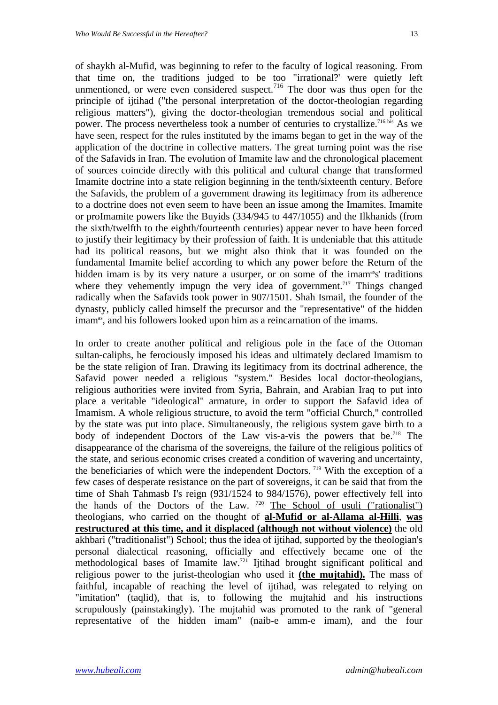of shaykh al-Mufid, was beginning to refer to the faculty of logical reasoning. From that time on, the traditions judged to be too "irrational?' were quietly left unmentioned, or were even considered suspect.<sup>716</sup> The door was thus open for the principle of ijtihad ("the personal interpretation of the doctor-theologian regarding religious matters"), giving the doctor-theologian tremendous social and political power. The process nevertheless took a number of centuries to crystallize.716 bis As we have seen, respect for the rules instituted by the imams began to get in the way of the application of the doctrine in collective matters. The great turning point was the rise of the Safavids in Iran. The evolution of Imamite law and the chronological placement of sources coincide directly with this political and cultural change that transformed Imamite doctrine into a state religion beginning in the tenth/sixteenth century. Before the Safavids, the problem of a government drawing its legitimacy from its adherence to a doctrine does not even seem to have been an issue among the Imamites. Imamite or proImamite powers like the Buyids (334/945 to 447/1055) and the Ilkhanids (from the sixth/twelfth to the eighth/fourteenth centuries) appear never to have been forced to justify their legitimacy by their profession of faith. It is undeniable that this attitude had its political reasons, but we might also think that it was founded on the fundamental Imamite belief according to which any power before the Return of the hidden imam is by its very nature a usurper, or on some of the imam<sup>as</sup>s' traditions where they vehemently impugn the very idea of government.<sup> $717$ </sup> Things changed radically when the Safavids took power in 907/1501. Shah Ismail, the founder of the dynasty, publicly called himself the precursor and the "representative" of the hidden imam<sup>as</sup>, and his followers looked upon him as a reincarnation of the imams.

In order to create another political and religious pole in the face of the Ottoman sultan-caliphs, he ferociously imposed his ideas and ultimately declared Imamism to be the state religion of Iran. Drawing its legitimacy from its doctrinal adherence, the Safavid power needed a religious "system." Besides local doctor-theologians, religious authorities were invited from Syria, Bahrain, and Arabian Iraq to put into place a veritable "ideological" armature, in order to support the Safavid idea of Imamism. A whole religious structure, to avoid the term "official Church," controlled by the state was put into place. Simultaneously, the religious system gave birth to a body of independent Doctors of the Law vis-a-vis the powers that be.<sup>718</sup> The disappearance of the charisma of the sovereigns, the failure of the religious politics of the state, and serious economic crises created a condition of wavering and uncertainty, the beneficiaries of which were the independent Doctors. 719 With the exception of a few cases of desperate resistance on the part of sovereigns, it can be said that from the time of Shah Tahmasb I's reign (931/1524 to 984/1576), power effectively fell into the hands of the Doctors of the Law. 720 The School of usuli ("rationalist") theologians, who carried on the thought of **al-Mufid or al-Allama al-Hilli**, **was restructured at this time, and it displaced (although not without violence)** the old akhbari ("traditionalist") School; thus the idea of ijtihad, supported by the theologian's personal dialectical reasoning, officially and effectively became one of the methodological bases of Imamite law.721 Ijtihad brought significant political and religious power to the jurist-theologian who used it **(the mujtahid).** The mass of faithful, incapable of reaching the level of ijtihad, was relegated to relying on "imitation" (taqlid), that is, to following the mujtahid and his instructions scrupulously (painstakingly). The mujtahid was promoted to the rank of "general representative of the hidden imam" (naib-e amm-e imam), and the four